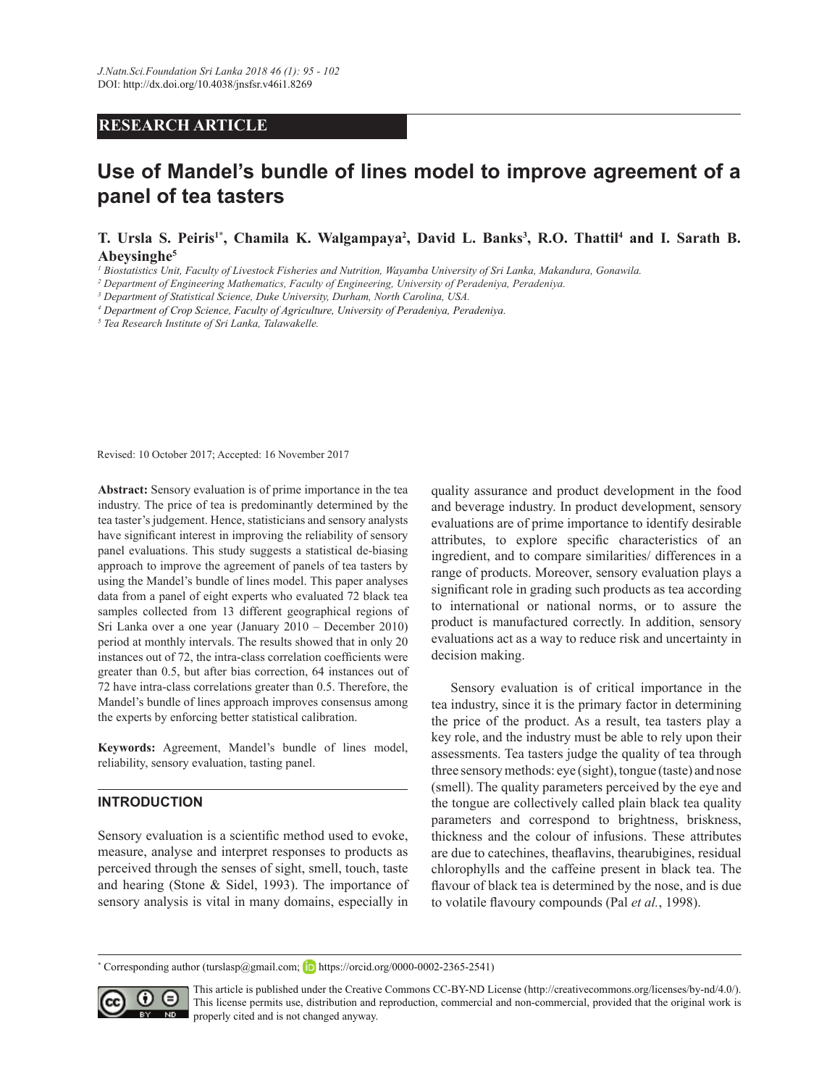## **RESEARCH ARTICLE**

## **Use of Mandel's bundle of lines model to improve agreement of a panel of tea tasters**

**T. Ursla S. Peiris1\*, Chamila K. Walgampaya<sup>2</sup> , David L. Banks<sup>3</sup> , R.O. Thattil<sup>4</sup> and I. Sarath B. Abeysinghe<sup>5</sup>**

<sup>1</sup> Biostatistics Unit, Faculty of Livestock Fisheries and Nutrition, Wayamba University of Sri Lanka, Makandura, Gonawila.

<sup>2</sup> Department of Engineering Mathematics, Faculty of Engineering, University of Peradeniya, Peradeniya.

<sup>3</sup> Department of Statistical Science, Duke University, Durham, North Carolina, USA.

<sup>4</sup> Department of Crop Science, Faculty of Agriculture, University of Peradeniya, Peradeniya.

<sup>5</sup> Tea Research Institute of Sri Lanka, Talawakelle.

Revised: 10 October 2017; Accepted: 16 November 2017

**Abstract:** Sensory evaluation is of prime importance in the tea industry. The price of tea is predominantly determined by the tea taster's judgement. Hence, statisticians and sensory analysts have significant interest in improving the reliability of sensory panel evaluations. This study suggests a statistical de-biasing approach to improve the agreement of panels of tea tasters by using the Mandel's bundle of lines model. This paper analyses data from a panel of eight experts who evaluated 72 black tea samples collected from 13 different geographical regions of Sri Lanka over a one year (January  $2010$  – December 2010) period at monthly intervals. The results showed that in only 20 instances out of 72, the intra-class correlation coefficients were greater than 0.5, but after bias correction, 64 instances out of 72 have intra-class correlations greater than 0.5. Therefore, the Mandel's bundle of lines approach improves consensus among the experts by enforcing better statistical calibration.

Keywords: Agreement, Mandel's bundle of lines model, reliability, sensory evaluation, tasting panel.

## **INTRODUCTION**

Sensory evaluation is a scientific method used to evoke, measure, analyse and interpret responses to products as perceived through the senses of sight, smell, touch, taste and hearing (Stone & Sidel, 1993). The importance of sensory analysis is vital in many domains, especially in

quality assurance and product development in the food and beverage industry. In product development, sensory evaluations are of prime importance to identify desirable attributes, to explore specific characteristics of an ingredient, and to compare similarities/ differences in a range of products. Moreover, sensory evaluation plays a significant role in grading such products as tea according to international or national norms, or to assure the product is manufactured correctly. In addition, sensory evaluations act as a way to reduce risk and uncertainty in decision making.

 Sensory evaluation is of critical importance in the tea industry, since it is the primary factor in determining the price of the product. As a result, tea tasters play a key role, and the industry must be able to rely upon their assessments. Tea tasters judge the quality of tea through three sensory methods: eye (sight), tongue (taste) and nose (smell). The quality parameters perceived by the eye and the tongue are collectively called plain black tea quality parameters and correspond to brightness, briskness, thickness and the colour of infusions. These attributes are due to catechines, theaflavins, thearubigines, residual chlorophylls and the caffeine present in black tea. The flavour of black tea is determined by the nose, and is due to volatile flavoury compounds (Pal et al., 1998).

\* Corresponding author (turslasp@gmail.com; https://orcid.org/0000-0002-2365-2541)



This article is published under the Creative Commons CC-BY-ND License (http://creativecommons.org/licenses/by-nd/4.0/). This license permits use, distribution and reproduction, commercial and non-commercial, provided that the original work is **ND** properly cited and is not changed anyway.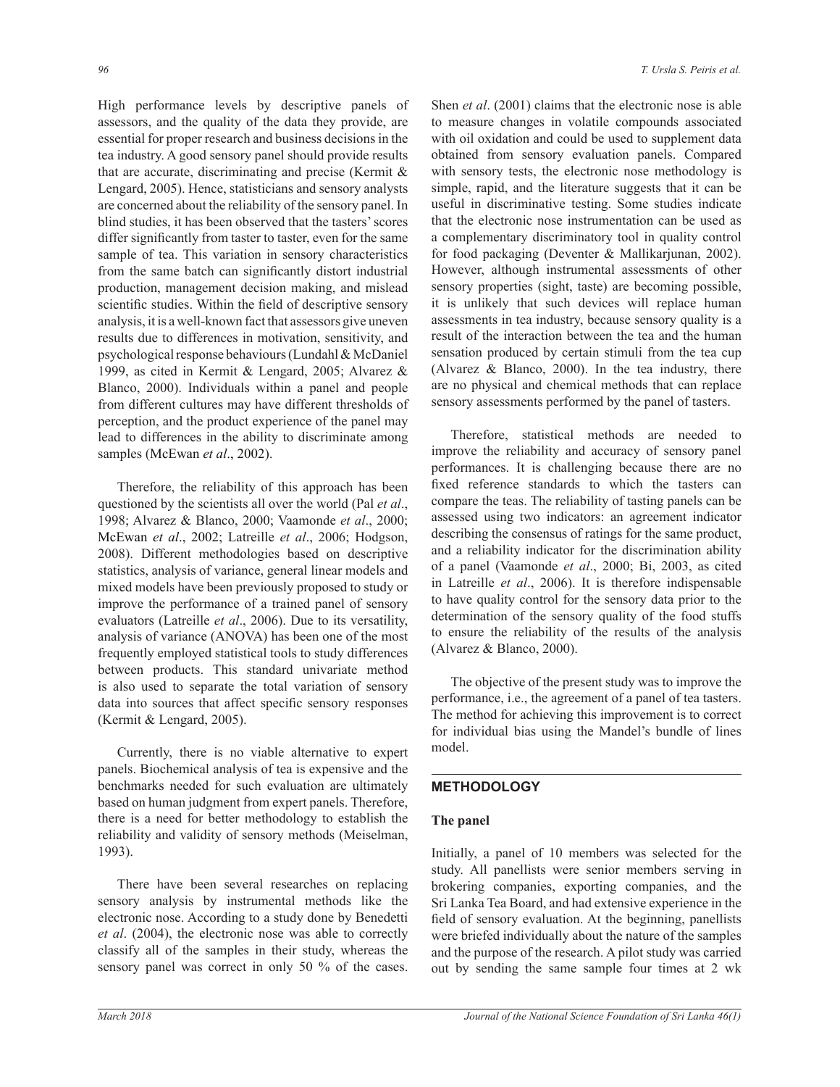High performance levels by descriptive panels of assessors, and the quality of the data they provide, are essential for proper research and business decisions in the tea industry. A good sensory panel should provide results that are accurate, discriminating and precise (Kermit  $\&$ Lengard, 2005). Hence, statisticians and sensory analysts are concerned about the reliability of the sensory panel. In blind studies, it has been observed that the tasters' scores differ significantly from taster to taster, even for the same sample of tea. This variation in sensory characteristics from the same batch can significantly distort industrial production, management decision making, and mislead scientific studies. Within the field of descriptive sensory analysis, it is a well-known fact that assessors give uneven results due to differences in motivation, sensitivity, and psychological response behaviours (Lundahl & McDaniel 1999, as cited in Kermit & Lengard, 2005; Alvarez & Blanco, 2000). Individuals within a panel and people from different cultures may have different thresholds of perception, and the product experience of the panel may lead to differences in the ability to discriminate among samples (McEwan *et al*., 2002).

 Therefore, the reliability of this approach has been questioned by the scientists all over the world (Pal *et al*., 1998; Alvarez & Blanco, 2000; Vaamonde *et al*., 2000; McEwan *et al*., 2002; Latreille *et al*., 2006; Hodgson, 2008). Different methodologies based on descriptive statistics, analysis of variance, general linear models and mixed models have been previously proposed to study or improve the performance of a trained panel of sensory evaluators (Latreille *et al*., 2006). Due to its versatility, analysis of variance (ANOVA) has been one of the most frequently employed statistical tools to study differences between products. This standard univariate method is also used to separate the total variation of sensory data into sources that affect specific sensory responses (Kermit & Lengard, 2005).

 Currently, there is no viable alternative to expert panels. Biochemical analysis of tea is expensive and the benchmarks needed for such evaluation are ultimately based on human judgment from expert panels. Therefore, there is a need for better methodology to establish the reliability and validity of sensory methods (Meiselman, 1993).

 There have been several researches on replacing sensory analysis by instrumental methods like the electronic nose. According to a study done by Benedetti *et al*. (2004), the electronic nose was able to correctly classify all of the samples in their study, whereas the sensory panel was correct in only 50 % of the cases. Shen *et al*. (2001) claims that the electronic nose is able to measure changes in volatile compounds associated with oil oxidation and could be used to supplement data obtained from sensory evaluation panels. Compared with sensory tests, the electronic nose methodology is simple, rapid, and the literature suggests that it can be useful in discriminative testing. Some studies indicate that the electronic nose instrumentation can be used as a complementary discriminatory tool in quality control for food packaging (Deventer & Mallikarjunan, 2002). However, although instrumental assessments of other sensory properties (sight, taste) are becoming possible, it is unlikely that such devices will replace human assessments in tea industry, because sensory quality is a result of the interaction between the tea and the human sensation produced by certain stimuli from the tea cup (Alvarez & Blanco, 2000). In the tea industry, there are no physical and chemical methods that can replace sensory assessments performed by the panel of tasters.

 Therefore, statistical methods are needed to improve the reliability and accuracy of sensory panel performances. It is challenging because there are no fixed reference standards to which the tasters can compare the teas. The reliability of tasting panels can be assessed using two indicators: an agreement indicator describing the consensus of ratings for the same product, and a reliability indicator for the discrimination ability of a panel (Vaamonde *et al*., 2000; Bi, 2003, as cited in Latreille *et al*., 2006). It is therefore indispensable to have quality control for the sensory data prior to the determination of the sensory quality of the food stuffs to ensure the reliability of the results of the analysis (Alvarez & Blanco, 2000).

 The objective of the present study was to improve the performance, i.e., the agreement of a panel of tea tasters. The method for achieving this improvement is to correct for individual bias using the Mandel's bundle of lines model.

## **METHODOLOGY**

## **The panel**

Initially, a panel of 10 members was selected for the study. All panellists were senior members serving in brokering companies, exporting companies, and the Sri Lanka Tea Board, and had extensive experience in the field of sensory evaluation. At the beginning, panellists were briefed individually about the nature of the samples and the purpose of the research. A pilot study was carried out by sending the same sample four times at 2 wk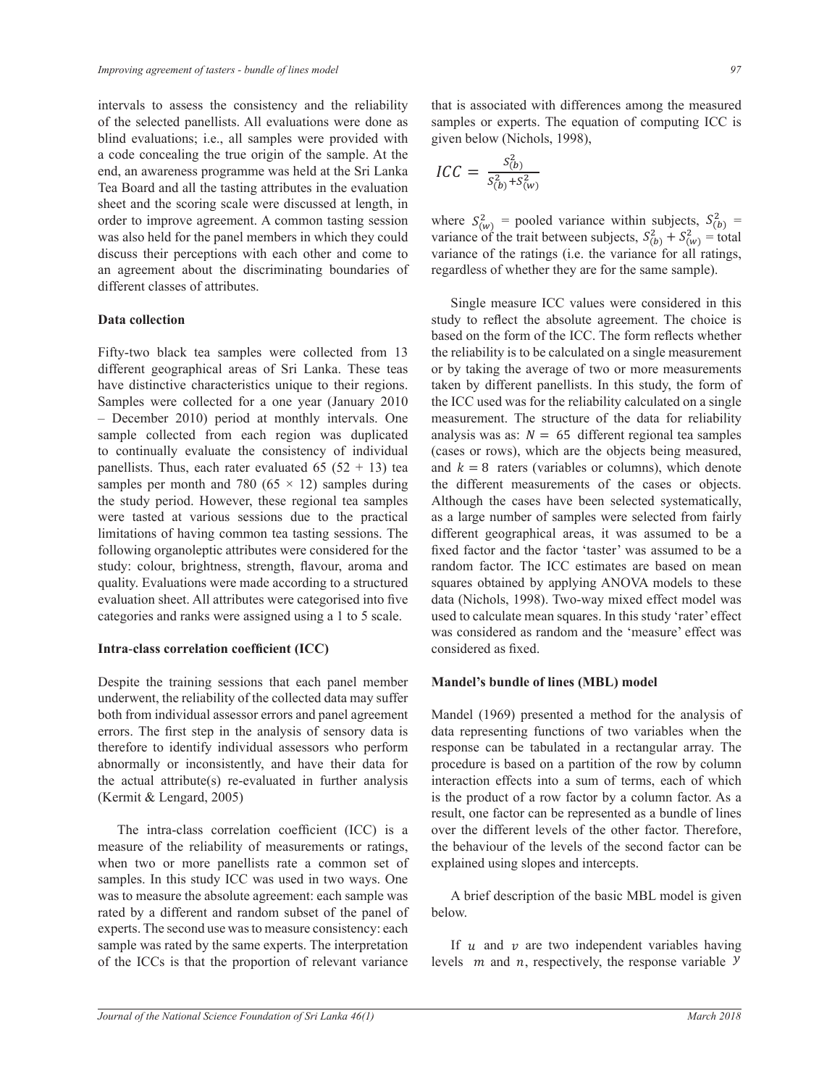intervals to assess the consistency and the reliability of the selected panellists. All evaluations were done as blind evaluations; i.e., all samples were provided with a code concealing the true origin of the sample. At the end, an awareness programme was held at the Sri Lanka Tea Board and all the tasting attributes in the evaluation sheet and the scoring scale were discussed at length, in order to improve agreement. A common tasting session where was also held for the panel members in which they could discuss their perceptions with each other and come to an agreement about the discriminating boundaries of different classes of attributes.  $\overline{a}$ 

### **Data collection**

Fifty-two black tea samples were collected from 13 different geographical areas of Sri Lanka. These teas have distinctive characteristics unique to their regions. Samples were collected for a one year (January 2010 - December 2010) period at monthly intervals. One Becember 2010) period at monthly intervals. One measurement 1.<br>sample collected from each region was duplicated analysis was as: to continually evaluate the consistency of individual panellists. Thus, each rater evaluated 65 (52 + 13) tea and  $k = 8$  i samples per month and 780 ( $65 \times 12$ ) samples during the study period. However, these regional tea samples Although the were tasted at various sessions due to the practical limitations of having common tea tasting sessions. The different following organoleptic attributes were considered for the study: colour, brightness, strength, flavour, aroma and random factor quality. Evaluations were made according to a structured evaluation sheet. All attributes were categorised into five categories and ranks were assigned using a 1 to 5 scale. ݕ  $\overline{1}$ 

# است.<br>Intra-class correlation coefficient (ICC)

Despite the training sessions that each panel member **Mandel's bundle of li**n underwent, the reliability of the collected data may suffer https://work.g. the remaining of the concercie during surfer and many surfer both from individual assessor errors and panel agreement Mandel (19) errors. The first step in the analysis of sensory data is therefore to identify individual assessors who perform abnormally or inconsistently, and have their data for abilominary of inconsistently, and have then data for procedure is b<br>the actual attribute(s) re-evaluated in further analysis interaction eff (Kermit & Lengard, 2005)  $\qquad \qquad$  is the product c

The intra-class correlation coefficient  $(ICC)$  is a over the measure of the reliability of measurements or ratings, when two or more panellists rate a common set of  $\epsilon$ samples. In this study ICC was used in two ways. One was to measure the absolute agreement: each sample was rated by a different and random subset of the panel of experts. The second use was to measure consistency: each sample was rated by the same experts. The interpretation of the ICCs is that the proportion of relevant variance

that is associated with differences among the measured samples or experts. The equation of computing ICC is given below (Nichols, 1998),

$$
ICC = \frac{s_{(b)}^2}{s_{(b)}^2 + s_{(w)}^2}
$$

where  $S_{(w)}^2$  = pooled variance within subjects,  $S_{(b)}^2$  = ariance of the ratings (i.e. the variance for all ratings,<br>coordinate of whather that are for the same sample)  $\frac{1}{2}$  come to which we have the summer to the manner of the same semiwhere  $S_{(w)}^{(w)}$  posed variance whilm subjects,  $S_{(b)}^{(B)} + S_{(w)}^{(B)}$  = total variance of the ratings (i.e. the variance for all ratings, variance of the ratings (i.e. the variance for all ratings, regardless of whether they are for the same sample).

Single measure ICC values were considered in this based on the form of the ICC. The form reflects whether These teas or by taking the average of two or more measurements<br>ir regions. taken by different panellists. In this study, the form of<br> $\frac{1}{2}$  and the ICC weak was for the reliability calculated on a single measurement. The structure of the data for reliability<br>malysis was as:  $N = 65$  different regional tea samples ne su ucune or me da and  $\kappa = \delta$  raters (variables or columns), which denote the different measurements of the cases or objects. Annough the cases have been selected systematically, as a large number of samples were selected from fairly fixed factor and the factor 'taster' was assumed to be a squares obtained by applying ANOVA models to these<br>data (Nichols 1998) Two-way mixed effect model was S scale. used to calculate mean squares. In this study rater effect was considered as random and the 'measure' effect was study to reflect the absolute agreement. The choice is from  $13$  the reliability is to be calculated on a single measurement diken by unferent panelists. In this study, the form of the ICC used was for the reliability calculated on a single evaluated 65 (52 + 13) tea and  $k = 8$  raters (variables or columns), which denote les Although the cases have been selected systematically, sions. The different geographical areas, it was assumed to be a set of the  $\frac{1}{2}$  of  $\frac{1}{2}$  and  $\frac{1}{2}$  and  $\frac{1}{2}$  and  $\frac{1}{2}$  and  $\frac{1}{2}$  and  $\frac{1}{2}$  and  $\frac{1}{2}$  and  $\frac{1}{2}$  and  $\frac{1}{2}$  and  $\frac{1}{2$ red for the three heads that the factor that the reduct was assumed to be a structured squares obtained by applying ANO VA models to these<br>d into five data (Nichols, 1998). Two-way mixed effect model was used to calculate mean squares. In this study 'rater' effect busidence as fixed.  $\frac{1}{\sqrt{2}}$  , where  $\frac{1}{\sqrt{2}}$  , where  $\frac{1}{\sqrt{2}}$  , where  $\frac{1}{\sqrt{2}}$ alysis was as:  $N = 65$  different regional tea samples<br>sees or rows), which are the objects being measured  $\tilde{\mathbf{S}}$ Single measure ICC values were considered in this or by taking the average of two or more measurements ത measurement. The structure of the data for reliability analysis was as:  $N = 65$  different regional tea samples<br>(cases or rows), which are the objects being measured,  $\frac{1}{y}$ , was considered as failed in and the measure

# **Mandel's bundle of lines (MBL) model**

Mandel (1969) presented a method for the analysis of anarysis or sensory data is<br>dual assessors who perform array response can be tabulated in a rectangular array. The  $\frac{1}{2}$  by and have their data for procedure is based on a partition of the row by column is the product of a row factor by a column factor. As a over the different levels of the other factor. Therefore, mmon set of explained using slopes and intercepts. data representing functions of two variables when the interaction effects into a sum of terms, each of which result, one factor can be represented as a bundle of lines the behaviour of the levels of the second factor can be

> A brief description of the basic MBL model is given below. <sup>ଶ</sup> ܵሺ௪ሻ  $\mathcal{F}$  $\mathcal{L}^{\mathcal{A}}$  $5 - 9$

If  $u$  and  $v$  are two independent variables having ce levels *m* and *n*, respectively, the response variable  $\mathcal{Y}$  $^{\prime}$ 

 $\frac{1}{\sqrt{2\pi}}$ 

 $\frac{1}{\sqrt{2\pi}}$ 

 $\frac{1}{\sqrt{2\pi}}\left(\frac{1}{\sqrt{2\pi}}\right)^{2\sqrt{2\pi}}\left(\frac{1}{\sqrt{2\pi}}\right)^{2\sqrt{2\pi}}$ 

 $\frac{1}{\sqrt{2\pi}}\left(\frac{1}{\sqrt{2\pi}}\right)^{2\sqrt{2\pi}}\left(\frac{1}{\sqrt{2\pi}}\right)^{2\sqrt{2\pi}}$ 

ݑ൫߮

ݑ൫߮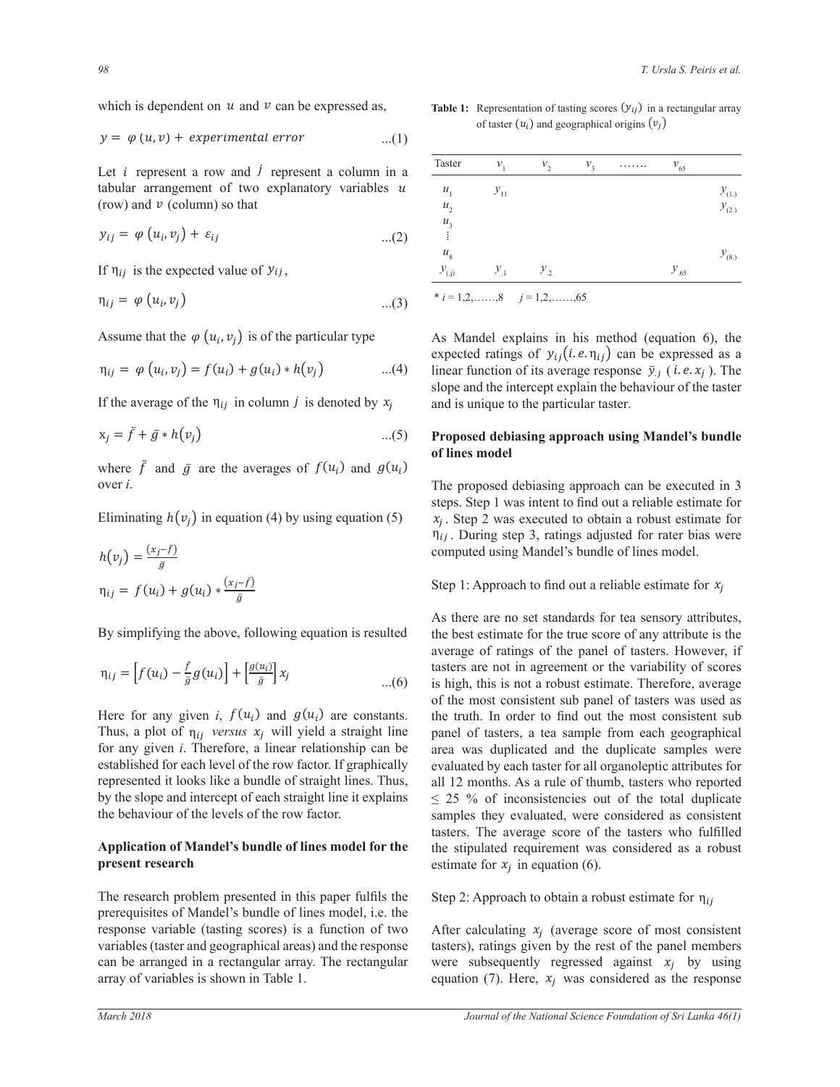which is dependent on  $u$  and  $v$  can be expressed as, bendent on  $u$  and  $v$  can be expressed a  $v$  can be expressed as,

$$
y = \varphi(u, v) + experimental error \qquad ...(1)
$$

Let *i* represent a row and *j* represent a column in a  $\frac{\text{Taster}}{\text{Taster}}$   $v_1$   $v_2$   $v_3$  $\frac{u_1}{v_1}$  o that  $\frac{u_2}{v_2}$ tabular arrangement of two explanatory variables  $u = u_1$   $v_{11}$ <br>(row) and  $v$  (column) so that (row) and  $v$  (column) so that  $\begin{bmatrix} u_1 & \cdots & v_1 \\ \vdots & \vdots & \vdots \\ u_2 & \cdots & \vdots \end{bmatrix}$  $at$   $\overline{a}$ Let *i* represent a row and *j* represent a column in a  $\frac{\text{Taster}}{\text{Taster}}$ 

$$
y_{ij} = \varphi(u_i, v_j) + \varepsilon_{ij} \qquad \qquad \dots (2) \qquad \begin{array}{c} \dots (2) \end{array}
$$

If  $\eta_{ij}$  is the expected value of  $y_{ij}$ , If  $\eta_{ij}$  is the expected value of  $y_{ij}$ ,  $\mathfrak{g}$ ,  $ii,$  $\mathcal{L}$ 

$$
\eta_{ij} = \varphi(u_i, v_j) \qquad \qquad \dots (3) \qquad \qquad ^{*}i = 1, 2, \dots \dots, 8 \qquad j = 1, 2, \dots \dots, 65
$$

Assume that the  $\varphi(u_i, v_j)$  is of the particular type <br>As Mandel explorations Assume that the  $\varphi(u_i, v_j)$  is of the particular type Assume that the  $\varphi(u_i, v_j)$  is of the particular type <br>As Mandel Assume that the  $\varphi(u_i, v_j)$  is of the particular type As Mar me that the  $\varphi(u_i, v_j)$  is of the particular

$$
\eta_{ij} = \varphi(u_i, v_j) = f(u_i) + g(u_i) * h(v_j) \qquad \qquad ...(4) \qquad \text{linear func}
$$

If the average of the  $\eta_{ij}$  in column j is denoted by  $x_j$  and is unique to the If the average of the  $\eta_{ij}$  in column *j* is denoted by  $x_j$  and is ту с  $\mathbf{u}_i$ т о  $\mathbf{u}_i$ If the average of the  $\eta_{ij}$  in column *j* is denoted by  $x_i$ 

$$
x_j = \bar{f} + \bar{g} * h(v_j)
$$
...(5) Proposed debiasing approach using

where  $\bar{f}$  and  $\bar{g}$  are the averages of  $f(u_i)$  and  $g(u_i)$ <br>over i  $\frac{1}{2}$   $\frac{1}{2}$   $\frac{1}{2}$   $\frac{1}{2}$   $\frac{1}{2}$   $\frac{1}{2}$   $\frac{1}{2}$   $\frac{1}{2}$   $\frac{1}{2}$   $\frac{1}{2}$   $\frac{1}{2}$   $\frac{1}{2}$   $\frac{1}{2}$   $\frac{1}{2}$   $\frac{1}{2}$   $\frac{1}{2}$   $\frac{1}{2}$   $\frac{1}{2}$   $\frac{1}{2}$   $\frac{1}{2}$   $\frac{1}{2}$   $\frac{1}{2}$  over  $i$ .  $\frac{1}{\sqrt{2}}$  ste  $WII$ wh<br>ove where  $\bar{f}$  and  $\bar{g}$  are the averages of  $f(u_i)$  and  $g(u_i)$  $\Gamma$ where  $\bar{f}$  and  $\bar{g}$  are the averages of  $f(u_i)$  and  $g(u_i)$  $\overline{O}$  v  $\overline{O}$   $\overline{O}$  $\sigma$   $\alpha$  ,  $\alpha$ where  $\bar{f}$  and  $\bar{g}$  are the averages of  $f(u_i)$  and  $g(u_i)$  $\Box$  ne averages of  $f(u_i)$  and  $g(u_i)$ 

Eliminating  $h(v_i)$  in equation (4) by using equation (5) step 2 was  $\circ$  (*j)*  $\cdot$   $\circ$   $\cdot$   $\circ$   $\cdot$ ߙ ൌ ݏ ൌ ܾ ൌ ܽ ൌ ߝ ൌ  $\mathcal{L}^{\mathcal{A}}(\mathcal{A},\mathcal{B})$  $\mathbf{p}$  $\Box$ Eliminating  $h(v_j)$  in equation (4) by using equation (5)  $\Gamma$  $\overline{51}$  steps. Step 1  $\frac{1}{2}$ Eliminating  $h(v_j)$  in equation (4) by using equation (5)  $x_j$ 

$$
h(v_j) = \frac{(x_j - \bar{f})}{\bar{g}}
$$
  
\n
$$
\eta_{ij} = f(u_i) + g(u_i) * \frac{(x_j - \bar{f})}{\bar{g}}
$$
  
\n
$$
h(v_j) = \frac{(x_j - \bar{f})}{\bar{g}}
$$
  
\nStep 1: Approz

By simplifying the above, following equation is resulted the best estimated the best estimated average of ratio  $\mathbf{By}$  s  $\Gamma$ , simplifying the charal fellowing equation is negated As there are<br>By simplifying the above, following equation is resulted the best esting

$$
\eta_{ij} = \left[ f(u_i) - \frac{\bar{f}}{\bar{g}} g(u_i) \right] + \left[ \frac{g(u_i)}{\bar{g}} \right] x_j
$$
\naverage of 1  
tasters are n  
...(6) is high, this  
of the most

 $\overline{a}$  $\Pi = \emptyset$  ,  $\Pi = \{C_1, \ldots, C_{n-1} \}$ Thus, a plot of  $\eta_{ij}$  versus  $x_j$  will yield a straight line panel of t established for each level of the row factor. If graphically expressed it has been the community of the community of the community of the community of the community of the community of the community of the community of the  $\mathbf{r} = \mathbf{r} \cdot \mathbf{r}$ of the most of<br>the most of the most of the most of the straight and  $g(u_i)$  are constants.<br>Thus a plot of p warrang x will yield a straight line represented it looks like a bundle of straight lines. Thus, by the slope and intercent of each straight line it explains  $\frac{1}{101}$  any given  $t$ . Therefore, bundle of straight lines. Thus, all 12 months.  $\frac{1}{\sqrt{2}}$  $\frac{5}{2}$  25 / δ or inconsisted the behaviour of the levels of the row factor.<br>
Samples they evaluated the row factor.  $\frac{1}{2}$  or any given  $\ell$ . Therefore, a finear read- $\frac{1}{2}$   $\frac{1}{2}$   $\frac{1}{2}$   $\frac{1}{2}$   $\frac{1}{2}$   $\frac{1}{2}$   $\frac{1}{2}$   $\frac{1}{2}$   $\frac{1}{2}$   $\frac{1}{2}$   $\frac{1}{2}$   $\frac{1}{2}$   $\frac{1}{2}$   $\frac{1}{2}$   $\frac{1}{2}$   $\frac{1}{2}$   $\frac{1}{2}$   $\frac{1}{2}$   $\frac{1}{2}$   $\frac{1}{2}$   $\frac{1}{2}$   $\frac{1}{2}$   $\theta$  the best  $\theta$ Thus, a plot of  $\eta_{ij}$  versus  $\lambda_j$  will yield a straight line panel of ta<br>for any given *i*. Therefore, a linear relationship can be area was considered for each level of the gas forter. If exceptionly  $\alpha$  established for each level of the row factor. If graphically evaluated by e by the slope and intercept of each straight line it explains  $\leq 25$  % of inconsistencies out  $i_j$  versus  $\lambda_j$  will yield a straight lift of  $\mu$ 

#### reproduced of themself is summer of these  $\frac{1}{2}$  $\frac{1}{2}$ **Application of Mandel's bundle of lines model for the** present research ݂ሺݑሻ ݃ሺݑሻ ሺݕሻ  $\mathbf{r}$ tion of Mandel's bundle of lines model for t మ

The research problem presented in this paper fulfils the preparation of Mandel's bundle of lines model, i.e. the response variable (tasting scores) is a function of two<br>variables (taster and geographical areas) and the response can be arranged in a rectangular array. The rectangular were subset<br>array of variables is shown in Table 1. equation ( can be arranged in a rectangular array. The rectangular were prerequisities of Mander's bundle of files model, i.e. the<br>response variable (tasting scores) is a function of two After  $\frac{1}{2}$ arch problem presented in this paper fulfils the

 $\mathcal{O}_{\mathcal{A}}$ 

 $\overline{\phantom{a}}$  , and  $\overline{\phantom{a}}$  , and  $\overline{\phantom{a}}$  , and  $\overline{\phantom{a}}$  , and  $\overline{\phantom{a}}$  , and  $\overline{\phantom{a}}$  , and  $\overline{\phantom{a}}$ 

ത

ൌ ݂ҧ ݃ҧ כ ݄൫ݒ൯ ݂ҧ݃ҧ݂ሺݑ

 $\mathcal{D}_{\mathcal{A}}$ 

ሻ ݃ሺݑ

 $u$  and  $v$  can be expressed as, **Table 1:** Representation of tasting scores  $(y_{ij})$  in a rectangular array • Representation of tasting scores  $(f_j)$  in a rectangular array<br>of taster  $(u_i)$  and geographical origins  $(v_j)$  $\frac{1}{2}$   $\frac{1}{2}$   $\frac{1}{2}$   $\frac{1}{2}$   $\frac{1}{2}$   $\frac{1}{2}$   $\frac{1}{2}$   $\frac{1}{2}$   $\frac{1}{2}$   $\frac{1}{2}$   $\frac{1}{2}$   $\frac{1}{2}$   $\frac{1}{2}$   $\frac{1}{2}$   $\frac{1}{2}$   $\frac{1}{2}$   $\frac{1}{2}$   $\frac{1}{2}$   $\frac{1}{2}$   $\frac{1}{2}$   $\frac{1}{2}$   $\frac{1}{2}$  **Table 1:** Representation of tasting scores  $(y_{ij})$  in a rectangular array<br>of taster  $(y_i)$  and geographical crising  $(y_i)$  $(v_j)$  $\iota(\nu_j)$ 

| present a column in a | Taster              | $v_{1}$  | $v_{\gamma}$ | $v_{1}$ | 1.1.1.1.1 | $v_{65}$  |            |
|-----------------------|---------------------|----------|--------------|---------|-----------|-----------|------------|
| lanatory variables u  | $u_{1}$             | $y_{11}$ |              |         |           |           | $y_{(1)}$  |
| $(2)$                 | $u_{2}$             |          |              |         |           |           | $y_{(2.)}$ |
|                       | $\mathcal{U}_3$     |          |              |         |           |           |            |
|                       | $\mathcal{U}_8$     |          |              |         |           |           | $y_{(8.)}$ |
|                       | $\mathcal{Y}_{(j)}$ | $y_{1}$  | $y_{2}$      |         |           | $y_{.65}$ |            |

As Mandel explains in his method (equation 6), the  $u_i + g(u_i) * h(v_j)$  ...(4) linear function of its average response  $\bar{y}_j$  (*i.e.x<sub>j</sub>*). The  $a_{ij}$  in column *j* is denoted by  $x_j$  and is unique to the particular taster. As wander exprains in its method (equation 0), the<br>expected ratings of  $y_{ij}$  (*i.e.*  $\eta_{ij}$ ) can be expressed as a  $\frac{1}{2}$   $\frac{1}{2}$   $\frac{1}{2}$   $\frac{1}{2}$   $\frac{1}{2}$   $\frac{1}{2}$   $\frac{1}{2}$   $\frac{1}{2}$   $\frac{1}{2}$   $\frac{1}{2}$   $\frac{1}{2}$   $\frac{1}{2}$   $\frac{1}{2}$   $\frac{1}{2}$   $\frac{1}{2}$   $\frac{1}{2}$   $\frac{1}{2}$   $\frac{1}{2}$   $\frac{1}{2}$   $\frac{1}{2}$   $\frac{1}{2}$   $\frac{1}{2}$  slope and the intercept explain the behaviour of the taster  $\alpha$  and is unique to the neutrinolent seter  $\cdot$  asier cular type As Mandel explains in his method (equation 6), the  $a \rightarrow a$  $\frac{1}{1}$   $\frac{1}{1}$ 

#### $\cdots$ of lines model  $\frac{1}{2}$   $\frac{1}{2}$   $\frac{1}{2}$   $\frac{1}{2}$   $\frac{1}{2}$   $\frac{1}{2}$   $\frac{1}{2}$   $\frac{1}{2}$   $\frac{1}{2}$   $\frac{1}{2}$   $\frac{1}{2}$   $\frac{1}{2}$   $\frac{1}{2}$   $\frac{1}{2}$   $\frac{1}{2}$   $\frac{1}{2}$   $\frac{1}{2}$   $\frac{1}{2}$   $\frac{1}{2}$   $\frac{1}{2}$   $\frac{1}{2}$   $\frac{1}{2}$  ...(5) Proposed debiasing approach using Mandel's bundle<br>of lines model 5) Proposed debiasing approach using Mandel's bundle  $\sigma$  must move  $\mathbf{v}_i$  must model

The proposed debtasing approach can be executed in 5<br>steps. Step 1 was intent to find out a reliable estimate for  $\frac{1}{\pi}$  The proposed debiasing approach can be executed in 3 steps. Step 1 was intent to find out a reliable estimate for  $x_j$ . Step 2 was executed to obtain a robust estimate for and the state of the state of the state of the state of the state of the state of the state of the state computed using Mandel's bundle of lines model.  $\Gamma$   $\Gamma$   $\sim$   $\Gamma$  $S$ lon (4) by using equation (5)  $x_j$ . Step 2 was executed to obtain a robust estimate for<br>  $\eta_{ij}$ . During step 3, ratings adjusted for rater bias were computed using Mandel's bundle of lines model.

#### Step 1: Approach to find out a reliable estimate for  $x_j$  $\mathbf S$ Ste

 $\frac{g(u_i)}{x_i}$  are not in agreement or the variability of scores As there are no set standards for tea sensory attributes, llowing equation is resulted the best estimate for the true score of any attribute is the  $\ldots(0)$  is high, this is not a robust estimate. Therefore, average<br>of the most consistent sub panel of tasters was used as ield a straight line panel of tasters, a tea sample from each geographical<br>calationship can be average of ratings of the panel of tasters. However, if tasters are not in agreement or the variability of scores  $\ldots(6)$  is high, this is not a robust estimate. Therefore, average of the most consistent sub-panel of tasters was used as<br>the truth. In order to find out the most consistent subarea was duplicated and the duplicate samples were<br>in be area was duplicated and the duplicate samples were rch estimate for  $x_j$  in equation (6).  $\frac{1}{2}$  tast ߝ ݕߚ ߙ ൌ ݔ WDVWHUV 7KH DYHUDJH VFRUH RI WKH WDVWHUV ZKR IXO¿OOHG ǡ ݒ൯ ߝ Ʉ ݕ Ʉ ൌ ߮൫ݑ ǡ ݒ൯ ൌ ܥܥܫ ௌሺ್ሻ <sup>మ</sup> ܵሺ௪ሻ ଶ ܵሺሻ ଶ ܵሺሻ <sup>ଶ</sup> ܵሺ௪ሻ <sup>ଶ</sup> ܰ ൌ ͷ ݇ ൌ ͺ <sup>ଶ</sup> ܰ ൌ ͷ ݇ ൌ ͺ factor. samples they evaluated, were considered as consistent samples they evaluated, were considered as consistent and was diploded and the diphede samples were<br>the level of the row factor. If graphically evaluated by each taster for all organoleptic attributes for  $\text{explains}$  and 12 months. As a rule of thumb, tasters who reported explains  $\leq 25$  % of inconsistencies out of the total duplicate el for the the stipulated requirement was considered as a robust all 12 months. As a rule of thumb, tasters who reported  $\frac{1}{\sqrt{2}}$   $\frac{1}{\sqrt{2}}$ 

 $\frac{1}{2}$   $\frac{1}{2}$   $\frac{1}{2}$   $\frac{1}{2}$   $\frac{1}{2}$   $\frac{1}{2}$   $\frac{1}{2}$   $\frac{1}{2}$   $\frac{1}{2}$   $\frac{1}{2}$   $\frac{1}{2}$   $\frac{1}{2}$   $\frac{1}{2}$   $\frac{1}{2}$   $\frac{1}{2}$   $\frac{1}{2}$   $\frac{1}{2}$   $\frac{1}{2}$   $\frac{1}{2}$   $\frac{1}{2}$   $\frac{1}{2}$   $\frac{1}{2}$  ߚ ሻߚߙሺ ߚ ߙ ߤ s paper fulfils the Step 2: Approach to obtain a robust estimate for  $\eta_{ij}$ 

ை ஆண்டு ஜெய்விருந்து<br>இந்த ஜெய்விருந்து

 $\frac{1}{2}$  $\delta$  After calculating  $x_j$  (average score of most consistent I the response tasters), ratings given by the rest of the panel members equation (7). Here,  $x_j$  was considered as the response were subsequently regressed against  $x_j$  by using

 $\mathcal{D}_{\mathcal{A}}$ 

ሻ ݃ሺݑ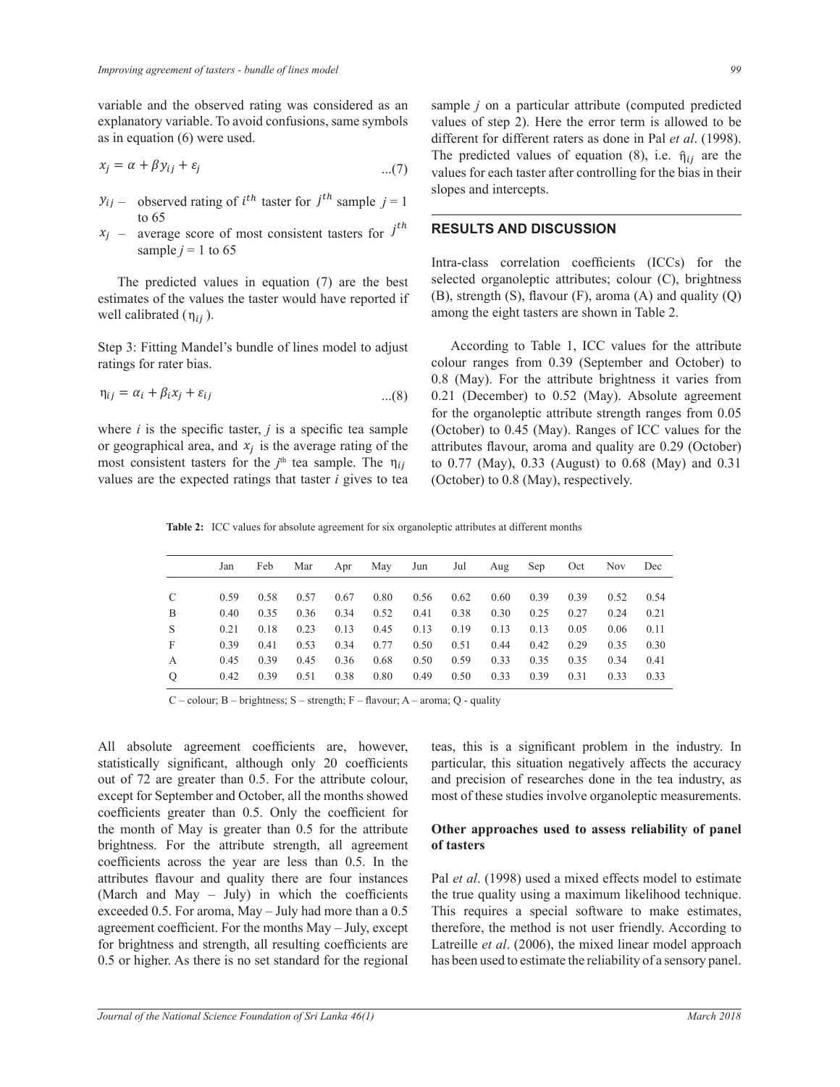variable and the observed rating was considered as an samp explanatory variable. To avoid confusions, same symbols values of ste<br>as in equation (6) were used. different for  $\alpha$   $\beta$  warrance is to avoid compared to  $\beta$  were used.  $\ddot{\phantom{a}}$ ሻ

$$
x_j = \alpha + \beta y_{ij} + \varepsilon_j \tag{7}
$$

- $y_{ij}$  observed rating of *i*<sup>th</sup> taster for *j*<sup>th</sup> sample *j* = 1 slopes and intercepts. to 65  $y_{ij}$  –
- $\chi_i = 200$  $\frac{1}{2}$   $\frac{1}{2}$   $\frac{1}{2}$   $\frac{1}{2}$   $\frac{1}{2}$   $\frac{1}{2}$   $\frac{1}{2}$   $\frac{1}{2}$   $\frac{1}{2}$   $\frac{1}{2}$   $\frac{1}{2}$   $\frac{1}{2}$   $\frac{1}{2}$   $\frac{1}{2}$   $\frac{1}{2}$   $\frac{1}{2}$   $\frac{1}{2}$   $\frac{1}{2}$   $\frac{1}{2}$   $\frac{1}{2}$   $\frac{1}{2}$   $\frac{1}{2}$  to 65<br> $x_j$  – average score of most consistent tasters for  $j^{th}$  RESULTS AND DISCUSSION  $x_j$ sample  $j = 1$  to 65

well calibrated  $(\eta_{ij})$ .  $\overline{r}$  are the vest  $\overline{r}$  are the vest estimates of the values the taster would have reported if (B), str  $\ddot{\theta}$   $\ddot{\theta}$   $\ddot{\theta}$   $\ddot{\theta}$   $\ddot{\theta}$ Manazarta de la construction de la construction de la construction de la construction de la construction de la<br>Décembre de la construction de la construction de la construction de la construction de la construction de la  $\frac{1}{\sqrt{2}}$ The predicted values in equation  $(7)$  are the best ster would have reported if  $(B)$ , strength  $(S)$ 

ratings for rater bias. Step 3: Fitting Mandel's bundle of lines modellers are prior to the state bias.  $S$ . ை இருக்கு ൫Ʉො൯  $\frac{1}{2}$  ,  $\frac{1}{2}$  ,  $\frac{1}{2}$  ,  $\frac{1}{2}$  ,  $\frac{1}{2}$ Step 3: Fitting Mandel's bundle of lines model to adjust<br>ratings for rater hias

$$
\eta_{ij} = \alpha_i + \beta_i x_j + \varepsilon_{ij} \qquad \qquad \dots (8)
$$

where *i* is the specific taster, *j* is a specific tea sample or geographical area, and  $x_j$  is the average rating of the  $\frac{m}{t}$  const  $\mathcal{L}_{\mathcal{A}}$ for the organol<br>where *i* is the specific taster, *j* is a specific tea sample (October) to 0. or geographical area, and  $x_j$  is the average rating or the attributes havour, most consistent tasters for the  $j^{\text{th}}$  tea sample. The  $\eta_{ij}$  to 0.77 (May), 0.  $\ddot{\rm g}$  $S^2$  . The model of  $S^2$  is the fit  $\alpha$ values are the expected ratings that taster  $i$  gives to tea  $\frac{1}{\sqrt{2}}$  ,  $\frac{1}{\sqrt{2}}$  ,  $\frac{1}{\sqrt{2}}$  ,  $\frac{1}{\sqrt{2}}$  ,  $\frac{1}{\sqrt{2}}$  ,  $\frac{1}{\sqrt{2}}$  ,  $\frac{1}{\sqrt{2}}$  ,  $\frac{1}{\sqrt{2}}$ In the specific taster,  $\hat{J}$  is a specific tea sample (October) to 0.45 (Ma

an sample *j* on a particular attribute (computed predicted  $\frac{1}{\text{different}}$  for different raters as done in Pal *et al.* (1998). The predicted values of equation (8), i.e.  $\eta_{ij}$  are the values for each taster after controlling for the bias in their  $\mathbf{r} = \mathbf{r} \cdot \mathbf{r}$  $\mathbf{B}$ values of step 2). Here the error term is allowed to be  $\frac{1}{2}$ The predicted values of equation (8), i.e.  $\hat{\eta}_{ij}$  are the  $\log$  slopes and intercepts.  $repts.$ 

## **EDENTIFY AND DISCUSSION**

sample  $j = 1$  to 65 <br>
Intra-class correlation coefficients (ICCs) for ω στην καταγραφή της καταγραφής της καταγραφής της καταγραφής της καταγραφής της και το στην επιτρ among the eight tasters are shown in Table 2.  $\overline{a}$ (*i*) are the best<br>thave reported if (B), strength (S), flavour (F), aroma (A) and quality  $(Q)$ Intra-class correlation coefficients (ICCs) for the selected organoleptic attributes; colour  $(C)$ , brightness  $(D)$ , strength  $(C)$ 

model to adjust<br>colour ranges from 0.39 (September and October) to  $0<sub>1</sub>$  $\eta_{ij} = \alpha_i + \beta_i x_j + \varepsilon_{ij}$  ...(8) 0.21 (December) to 0.52 (May). Absolute agreement ߝ ݕߚ ߙ ൌ ݔ  $\tau$  *i* gives to tea (October) to 0.8 (May), respectively. to 0.77 (May), 0.33 (August) to 0.68 (May) and 0.31 According to Table 1, ICC values for the attribute 0.8 (May). For the attribute brightness it varies from for the organoleptic attribute strength ranges from 0.05 (October) to 0.45 (May). Ranges of ICC values for the attributes flavour, aroma and quality are 0.29 (October)

Table 2: ICC values for absolute agreement for six organoleptic attributes at different months

| Jan  | Feb  | Mar  | Apr  | May  | Jun  | Jul  |      |      | Oct  | Nov  | Dec  |
|------|------|------|------|------|------|------|------|------|------|------|------|
| 0.59 | 0.58 | 0.57 | 0.67 | 0.80 | 0.56 | 0.62 | 0.60 | 0.39 | 0.39 | 0.52 | 0.54 |
| 0.40 | 0.35 | 0.36 | 0.34 | 0.52 | 0.41 | 0.38 | 0.30 | 0.25 | 0.27 | 0.24 | 0.21 |
| 0.21 | 0.18 | 0.23 | 0.13 | 0.45 | 0.13 | 0.19 | 0.13 | 0.13 | 0.05 | 0.06 | 0.11 |
| 0.39 | 0.41 | 0.53 | 0.34 | 0.77 | 0.50 | 0.51 | 0.44 | 0.42 | 0.29 | 0.35 | 0.30 |
| 0.45 | 0.39 | 0.45 | 0.36 | 0.68 | 0.50 | 0.59 | 0.33 | 0.35 | 0.35 | 0.34 | 0.41 |
| 0.42 | 0.39 | 0.51 | 0.38 | 0.80 | 0.49 | 0.50 | 0.33 | 0.39 | 0.31 | 0.33 | 0.33 |
|      |      |      |      |      |      |      |      | Aug  | Sep  |      |      |

 $C$  – colour; B – brightness; S – strength; F – flavour; A – aroma; Q - quality

 $\overline{A}$ ll All absolute agreement coefficients are, however, statistically significant, although only 20 coefficients except for September and October, all the months showed the month of May is greater than  $0.5$  for the attribute out of 72 are greater than 0.5. For the attribute colour, coefficients greater than 0.5. Only the coefficient for brightness. For the attribute strength, all agreement coefficients across the year are less than  $0.5$ . In the attributes flavour and quality there are four instances (March and May  $-$  July) in which the coefficients exceeded 0.5. For aroma, May – July had more than a 0.5 agreement coefficient. For the months May - July, except for brightness and strength, all resulting coefficients are 0.5 or higher. As there is no set standard for the regional

owed most of these studies involve organoleptic measurements. teas, this is a significant problem in the industry. In particular, this situation negatively affects the accuracy and precision of researches done in the tea industry, as

### **Other approaches used to assess reliability of panel of tasters**

Pal *et al.* (1998) used a mixed effects model to estimate the true quality using a maximum likelihood technique. This requires a special software to make estimates, therefore, the method is not user friendly. According to Latreille *et al*. (2006), the mixed linear model approach has been used to estimate the reliability of a sensory panel.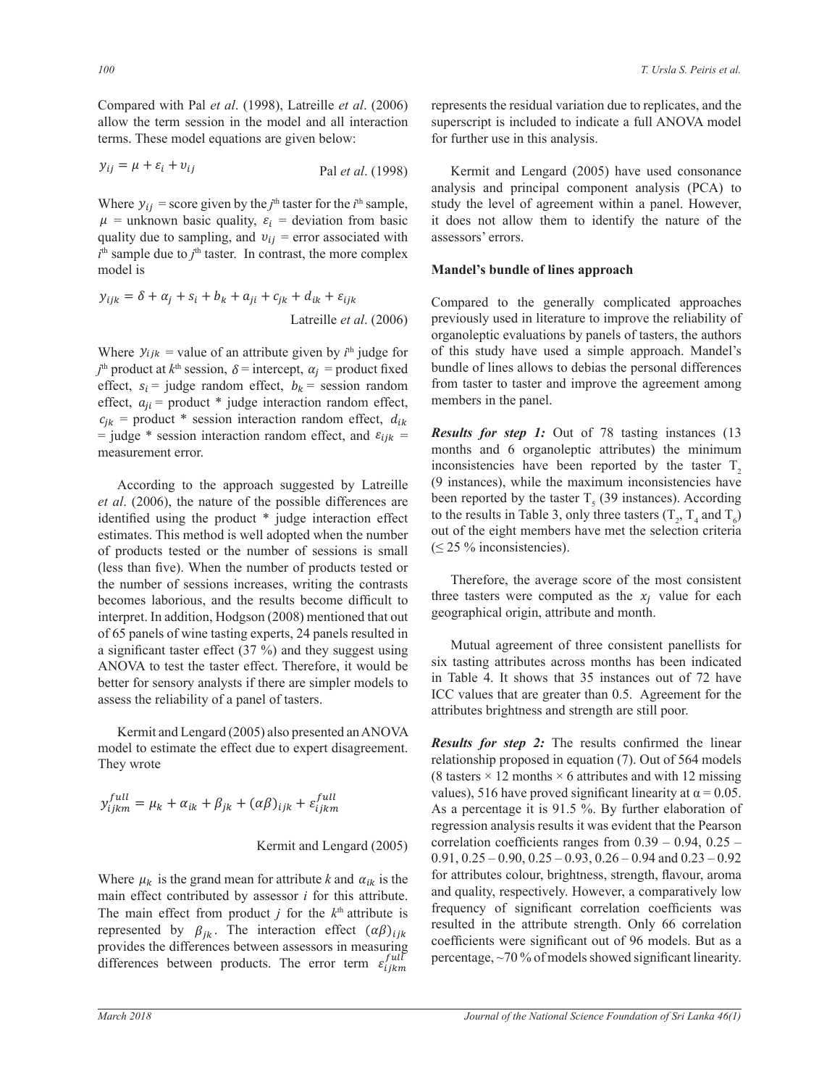Compared with Pal *et al.* (1998), Latreille *et al.* (2006) allow the term session in the model and all interaction superscript is included to in allow the term session in the model and all in<br>terms. These model equations are given below: ter terms terms terms terms terms terms terms terms terms terms terms terms terms terms terms terms terms terms terms terms terms terms terms terms terms terms terms terms terms terms terms terms terms terms terms terms te Compared with Pal et al. (1998), Latr  $\mathbf{I}$ Compared with Pal et al. (1998), Latreille et al. (2006) terms. These model equations are given below: for further use in the set of the set of the set of the set of the set of the set of the set of the set of the set of the set of the set of the set of the set of the set of the ݎݎݎ݈ܽ݁ݐ݅݉݁݊ݎ݁ݔ݁ ሻݒ ǡݑሺ߮ ൌ ݕ ݕ ݊ ݉ ݒ ݑ ݎݎݎ݈ܽ݁ݐ݅݉݁݊ݎ݁ݔ݁ ሻݒ ǡݑሺ߮ ൌ ݕ ݕ ݊ ݉ ݒ ݑ Compared With Pal *et al.* (1998), Latrellie *et al.* (200 red with Pal *et al.* (199 h Pal *et al.* (1998), Latreille *et al.* (200)

$$
y_{ij} = \mu + \varepsilon_i + v_{ij}
$$
 Pal *et al.* (1998) I  
anal

 $\mathcal{L}(\mathcal{D}) = \mathcal{L}(\mathcal{D})$ 

Where  $y_{ij}$  = score given by the  $j^{\text{th}}$  taster for the  $i^{\text{th}}$  sample,  $i<sup>th</sup>$  sample due to  $j<sup>th</sup>$  taster. In contrast, the more complex<br>model is quality due to sampling, and  $v_{ij}$  = error associated with  $\frac{1}{x}$  model is  $\frac{1}{\sqrt{2}}$  $\mu$  = unknown basic quality,  $\varepsilon_i$  = deviation from basic w<sub>i</sub> Where  $y_{ij}$  = score given by the  $j^{\text{th}}$  taster for the  $i^{\text{th}}$  sample, stud model is we sample due to *f* aster. In contrast, the more complex<br>model is **Mandel's bundle of lines ap**  $\ddot{o}$   $\ddot{o}$   $\ddot{o}$  $i^{\text{th}}$  sample due to  $j^{\text{th}}$  taster. In contrast, the more complex model is

$$
y_{ijk} = \delta + \alpha_j + s_i + b_k + a_{ji} + c_{jk} + d_{ik} + \varepsilon_{ijk}
$$
  
Compared to the generally comp  
Latreille *et al.* (2006)   
previously used in literature to improve  
orpanolentic evaluations by panels o

Where  $y_{ijk}$  = value of an attribute given by  $i^{th}$  judge for of this study have used a vertex of  $\frac{1}{t}$ where  $y_{ijk} =$  value of an autrioute given by  $t^m$  judge for the said of lines allows to debias  $t^m$  product at  $k^m$  session,  $\delta$  = intercept,  $\alpha_j$  = product fixed bundle of lines allows to debias  $\text{erfect}, \quad s_i \text{ } \text{Jauge random effect}, \quad \text{for } \text{a} \text{ and } \text{a} \text{ and } \text{a} \text{ are } \text{a} \text{ and } \text{a} \text{ and } \text{a} \text{ are } \text{a} \text{ and } \text{a} \text{ and } \text{a} \text{ are } \text{a} \text{ and } \text{a} \text{ and } \text{a} \text{ are } \text{a} \text{ and } \text{a} \text{ are } \text{a} \text{ and } \text{a} \text{ are } \text{a} \text{ and } \text{a} \text{ are } \text{a} \text{ and }$ effect,  $s_i$  = judge random effect,  $b_k$  = session random from taster to taster and implements  $c_{jk} =$  product \* session interaction random effect,  $d_{ik} =$   $\sum_{k=1}^{\infty} a_k = 2$ measurement error.  $\vec{r} = \text{diag} \cdot \vec{r}$  and  $\vec{r} = \text{diag} \cdot \vec{r}$  and  $\vec{r} = \text{diag} \cdot \vec{r}$  and  $\vec{r} = \text{diag} \cdot \vec{r}$  and  $\vec{r} = \text{diag} \cdot \vec{r}$  and  $\vec{r} = \text{diag} \cdot \vec{r}$  $\overline{y}$  or  $\overline{y}$ Where  $v_{\text{eff}} =$  yelve of an ettribute given by  $\psi_{\text{eff}}$ WHELE  $y_{ijk}$  – value of an authority given by  $t^m$  judge for  $\frac{1}{2}$ ߙ ൌ ݏ ൌ ܾ ൌ ܽ ൌ ߝ ൌ  $v_{ij}$ <br> $\dot{v}_{ij} = \text{value of an attribute given by } \dot{v}_{ij}$ Let at  $k^m$  session,  $\delta$  = intercept,  $\alpha_j$  = product is

According to the approach suggested by Latreille  $(9 \text{ instance})$  $\epsilon$ According to the approach suggested by Earl and the possible differences are et al. (2006), the nature of the possible differences are identified using the product  $*$  judge interaction effect to the result number out of the stimates. This method is well adopted when the number out of the stimates. between the number of sessions is small  $\leq 25\%$ of products tested of the number of sessions is small the number of sessions increases, writing the contrasts Therefore is the number of sessions increases, writing the contrasts becomes laborious, and the results become difficult to three 1 interpret. In addition, Hodgson (2008) mentioned that out geographical origin, marped in table of your group of 65 panels of wine tasting experts, 24 panels resulted in of 65 panels of whic tasting experts,  $2+$  panels resulted in a significant taster effect  $(37%)$  and they suggest using a significant taster effect ( $57%$ ) and they suggest doing<br>ANOVA to test the taster effect. Therefore, it would be six tasting ANO VA to test the taster effect. Therefore, it would be<br>better for sensory analysts if there are simpler models to<br>assess the reliability of a panel of tasters better for sensory analysts if there are simpler models to<br>assess the reliability of a panel of tasters.<br>attributes brightne rous, and the results become difficult to three tasters were computed as the  $\lambda_j$  vertice. differences are

> Kermit and Lengard (2005) also presented an ANOVA<br>Results for step 2: The results **SETTHE AND THE EXECUTE OF EXAMPLE A** FORM THE RESULTS FOR SERVITS FOR SERVITS FOR SERVITS FOR SERVITS FOR SERVITS  $\vec{p}$  and  $\vec{p}$  are  $\vec{p}$  and  $\vec{p}$  are  $\vec{p}$  and  $\vec{p}$  are  $\vec{p}$  and  $\vec{p}$  are  $\vec{p}$  an They wrote and the effect due to expert disagree Kermit and Lengard (2005) also presented an ANOVA<br>model to estimate the effect due to expert disagreement. Results for s Ť,

$$
y_{ijkm}^{full} = \mu_k + \alpha_{ik} + \beta_{jk} + (\alpha \beta)_{ijk} + \varepsilon_{ijkm}^{full}
$$
\nvalues), 510 n

\nAs a percenta

\nregression and

## Kermit and Lengard (2005) correlation coe

൫Ʉො൯

Where  $\mu_k$  is the grand mean for attribute *k* and  $\alpha_{ik}$  is the for attributes colour, brightness of  $\alpha_{ik}$  is the sensetimely. He The main effect from product *j* for the  $k<sup>th</sup>$  attribute is main effect contributed by assessor *i* for this attribute. and quality, respectively. However,  $\frac{1}{2}$  and  $\frac{1}{2}$  of  $\frac{1}{2}$  and  $\frac{1}{2}$   $\frac{1}{2}$  and  $\frac{1}{2}$   $\frac{1}{2}$   $\frac{1}{2}$   $\frac{1}{2}$   $\frac{1}{2}$   $\frac{1}{2}$  represented by  $\beta_{jk}$ . The interaction effect  $(\alpha \beta)_{ijk}$  resulted in the attribute s differences between products. The error term  $\varepsilon_{ijkm}^{full}$ provides the differences between assessors in measuring

<u> v tronici na predstavanje predstavanje predstavanje predstavanje predstavanje predstavanje predstavanje preds</u>

 $et \ al. (2006)$  represents the residual variation due to replicates, and the d all interaction superscript is included to indicate a full ANOVA model for further use in this analysis.

Pal et al. (1998) Kermit and Lengard (2005) have used consonance analysis and principal compenent within a panel. However, with assessors' errors. analysis and principal component analysis (PCA) to on from basic it does not allow them to identify the nature of the  $\eta$ <sup>N</sup>  $\eta$ <sup> $\eta$ </sup>  $\eta$ <sup> $\eta$ </sup>  $\eta$ <sup> $\eta$ </sup>  $\eta$ <sup> $\eta$ </sup>  $\eta$  $\ddot{\phantom{1}}$  $\gamma$  is exponentially exponent to  $\gamma$  $\overline{\mathcal{C}}$  $\alpha$ 

### $\overline{r}$   $\overline{r}$   $\overline{r}$   $\overline{r}$   $\overline{r}$   $\overline{r}$   $\overline{r}$   $\overline{r}$   $\overline{r}$   $\overline{r}$   $\overline{r}$   $\overline{r}$   $\overline{r}$   $\overline{r}$   $\overline{r}$   $\overline{r}$   $\overline{r}$   $\overline{r}$   $\overline{r}$   $\overline{r}$   $\overline{r}$   $\overline{r}$   $\overline{r}$   $\overline{r}$   $\overline{$ omplex<br>Mandel's bundle of lines app ത **Mandel's bundle of lines approach**

turnoute given by  $t^{\text{th}}$  judge for  $\theta$  or this study have used a simple approach. Mander's  $\frac{1}{2}$   $\frac{1}{2}$   $\frac{1}{2}$   $\frac{1}{2}$   $\frac{1}{2}$   $\frac{1}{2}$   $\frac{1}{2}$   $\frac{1}{2}$   $\frac{1}{2}$   $\frac{1}{2}$   $\frac{1}{2}$   $\frac{1}{2}$   $\frac{1}{2}$   $\frac{1}{2}$   $\frac{1}{2}$   $\frac{1}{2}$   $\frac{1}{2}$   $\frac{1}{2}$   $\frac{1}{2}$   $\frac{1}{2}$   $\frac{1}{2}$   $\frac{1}{2}$  organoiepuc evaluations by panels of tas  $\alpha$  Lautine *et al.* (2000) betwords to all interature to improve the remaintly of organoleptic evaluations by panels of tasters, the authors  $\tau_{\text{ijk}}$  Compared to the generally complicated approaches organorepric evandations by panels or disters, the dutions of this study have used a simple approach. Mandel's bundle of these  $\frac{1}{2}$  from taster to taster and improve the agreement among members in the panel.

> **Results for step 1:** Out of 78 tasting instances (13 months and 6 organoleptic attributes) the minimum inconsistencies have been reported by the taster  $T_2$  $(9 \text{ instances})$ , while the maximum inconsistencies have Examelie (b) instances), while the maximum inconsistences have the research of  $\Gamma_5$  (39 instances). According  $\frac{q}{2}$  interaction effect  $\frac{q}{q}$  out of the eight members have met the selection  $(22)$  /0 inconsistencies).  $\leq$  25 % inconsistencies). pted when the number out of the eight members have met the selection criteria  $(6.25 \frac{9}{100})$ to the results in Table 3, only three tasters  $(T_2, T_4$  and  $T_6)$

> the number of products tested or<br>s increases, writing the contrasts<br> $\frac{1}{\sqrt{1-\frac{1}{n}}}\int_{-\infty}^{\infty}$ three tasters were computed as the  $x_j$  value for each  $\hat{m} = \frac{1}{2} \sum_{i=1}^{n} \frac{1}{2} \sum_{i=1}^{n} \frac{1}{2} \sum_{i=1}^{n} \frac{1}{2} \sum_{i=1}^{n} \frac{1}{2} \sum_{i=1}^{n} \frac{1}{2} \sum_{i=1}^{n} \frac{1}{2} \sum_{i=1}^{n} \frac{1}{2} \sum_{i=1}^{n} \frac{1}{2} \sum_{i=1}^{n} \frac{1}{2} \sum_{i=1}^{n} \frac{1}{2} \sum_{i=1}^{n} \frac{1}{2} \sum_{i=1}^{n} \frac{1}{2} \sum_{$

> > $\frac{d}{dt}$  is resulted in<br> $\frac{d}{dt}$  Mutual agreement of three consistent panellists for  $\frac{1}{10}$  in Table 4. Mutual agreement of three consistent panellists for<br>six tasting attributes across months has been indicated<br>in Table 4. It shares that 25 instances out of 72 have  $\frac{1}{\text{rate}}$  are simpler models to  $\frac{1}{\text{rate}}$  in Track 1. A shows that 35 models out of 1.2 have tasters.  $\frac{3}{10}$  in Table 4. It shows that 35 instances out of 72 have fect values that are greater than 0.5. Agreement attributes brightness and strength are still poor.

 $A + \beta_{jk} + (\alpha \beta)_{ijk} + \varepsilon_{ijklm}^{full}$  as a percentage it is 91.5 %. By further elaboration of  $\overline{A}$ relationship proposed in equation (7). Out of 564 models  $\frac{f \nu I}{\nu}$  values), 516 have proved significant linearity at  $\alpha = 0.05$ .  $\frac{m}{m}$  a percentage it is  $\frac{31.5}{m}$ . By further clabels es colour, brightness, strength, flavour, aroma  $R_{ijk}$  is the integration correlation coefficients was<br>resulted in the attribute strength. Only 66 correlation  $\frac{1}{2}$   $\frac{1}{2}$  months  $\times$  6 attributes and with 12 missing esented an ANOVA<br>
spert disagreement **Results for step 2:** The results confirmed the linear Kermit and Lengard (2005) correlation coefficients ranges from  $0.39 - 0.94$ ,  $0.25 \frac{6.57, 6.25}{6.50, 6.25}$   $\frac{6.50, 6.25}{6.50, 6.25}$   $\frac{6.50, 6.25}{6.50}$   $\frac{6.50}{6.50}$  and  $\frac{6.25}{6.52}$ resured in the attribute strength. Only 60 correlation<br>coefficients were significant out of 96 models. But as a  $\gamma$  percentage, ~70% of models showed significant linearity. regression analysis results it was evident that the Pearson<br>condition and  $\mathcal{C}$  is in the mass of the  $\theta$  30  $\pm$  0.04  $\theta$  35  $0.91, 0.25 - 0.90, 0.25 - 0.93, 0.26 - 0.94$  and  $0.23 - 0.92$ and quality, respectively. However, a comparatively low frequency of significant correlation coefficients was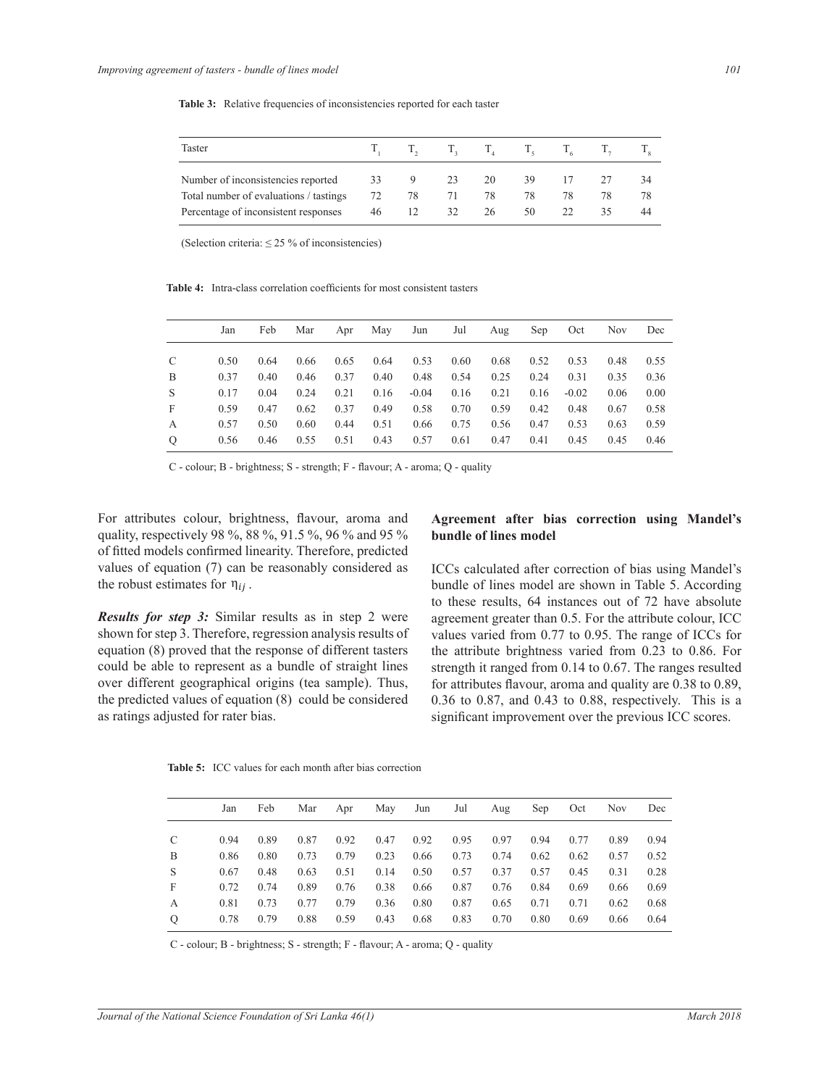| Taster                                 |    |    |    |    | $T_i = T_i = T_i = T_i = T_i = T_i$ |    |    |
|----------------------------------------|----|----|----|----|-------------------------------------|----|----|
| Number of inconsistencies reported     | 33 | 9  | 23 | 20 | 39                                  | 17 | 34 |
| Total number of evaluations / tastings | 72 | 78 | 71 | 78 | 78                                  | 78 | 78 |
| Percentage of inconsistent responses   | 46 |    | 32 | 26 | 50                                  |    | 44 |

Table 3: Relative frequencies of inconsistencies reported for each taster

(Selection criteria:  $\leq$  25 % of inconsistencies)

**Table 4:** Intra-class correlation coefficients for most consistent tasters

|               | Jan  | Feb  | Mar  |      |      | Apr May Jun | Jul Aug |      | Sep  | Oct     | Nov. | Dec  |
|---------------|------|------|------|------|------|-------------|---------|------|------|---------|------|------|
|               |      |      |      |      |      |             |         |      |      |         |      |      |
| C             | 0.50 | 0.64 | 0.66 | 0.65 | 0.64 | 0.53        | 0.60    | 0.68 | 0.52 | 0.53    | 0.48 | 0.55 |
| B             | 0.37 | 0.40 | 0.46 | 0.37 | 0.40 | 0.48        | 0.54    | 0.25 | 0.24 | 0.31    | 0.35 | 0.36 |
| S             | 0.17 | 0.04 | 0.24 | 0.21 | 0.16 | $-0.04$     | 0.16    | 0.21 | 0.16 | $-0.02$ | 0.06 | 0.00 |
| F             | 0.59 | 0.47 | 0.62 | 0.37 | 0.49 | 0.58        | 0.70    | 0.59 | 0.42 | 0.48    | 0.67 | 0.58 |
| A             | 0.57 | 0.50 | 0.60 | 0.44 | 0.51 | 0.66        | 0.75    | 0.56 | 0.47 | 0.53    | 0.63 | 0.59 |
| $\mathcal{O}$ | 0.56 | 0.46 | 0.55 | 0.51 | 0.43 | 0.57        | 0.61    | 0.47 | 0.41 | 0.45    | 0.45 | 0.46 |

 $C$  - colour; B - brightness; S - strength; F - flavour; A - aroma; Q - quality

For attributes colour, brightness, flavour, aroma and quality, respectively 98 %, 88 %, 91.5 %, 96 % and 95 % of fitted models confirmed linearity. Therefore, predicted values of equation (7) can be reasonably considered as the robust estimates for  $\eta_{ij}$ .

**Results for step 3:** Similar results as in step 2 were equation (8) proved that the response of different tasters over different geographical origins (tea sample). Thus, the predicted values of equation  $(8)$  could be considered as ratings adjusted for rater bias. shown for step 3. Therefore, regression analysis results of could be able to represent as a bundle of straight lines

## **Agreement after bias correction using Mandel's bundle of lines model**

ICCs calculated after correction of bias using Mandel's bundle of lines model are shown in Table 5. According to these results, 64 instances out of 72 have absolute agreement greater than 0.5. For the attribute colour, ICC values varied from 0.77 to 0.95. The range of ICCs for the attribute brightness varied from 0.23 to 0.86. For strength it ranged from 0.14 to 0.67. The ranges resulted for attributes flavour, aroma and quality are  $0.38$  to  $0.89$ , 0.36 to 0.87, and 0.43 to 0.88, respectively. This is a significant improvement over the previous ICC scores.

Table 5: ICC values for each month after bias correction

|   | Jan  | Feb  | Mar  | Apr  | May  | Jun  | Jul  | Aug  | Sep  | Oct  | Nov. | Dec  |
|---|------|------|------|------|------|------|------|------|------|------|------|------|
|   | 0.94 | 0.89 | 0.87 | 0.92 | 0.47 | 0.92 | 0.95 | 0.97 | 0.94 | 0.77 | 0.89 | 0.94 |
| В | 0.86 | 0.80 | 0.73 | 0.79 | 0.23 | 0.66 | 0.73 | 0.74 | 0.62 | 0.62 | 0.57 | 0.52 |
| S | 0.67 | 0.48 | 0.63 | 0.51 | 0.14 | 0.50 | 0.57 | 0.37 | 0.57 | 0.45 | 0.31 | 0.28 |
| F | 0.72 | 0.74 | 0.89 | 0.76 | 0.38 | 0.66 | 0.87 | 0.76 | 0.84 | 0.69 | 0.66 | 0.69 |
| А | 0.81 | 0.73 | 0.77 | 0.79 | 0.36 | 0.80 | 0.87 | 0.65 | 0.71 | 0.71 | 0.62 | 0.68 |
| О | 0.78 | 0.79 | 0.88 | 0.59 | 0.43 | 0.68 | 0.83 | 0.70 | 0.80 | 0.69 | 0.66 | 0.64 |

 ൫Ʉො൯ C - colour; B - brightness; S - strength; F - flavour; A - aroma; Q - quality